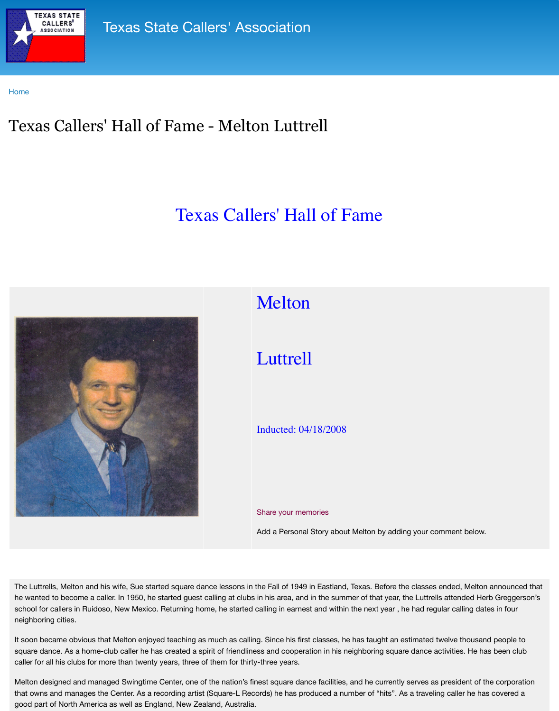



## Inducted: 04/18/2008

## Share your memories

Add a Personal Story about M

The Luttrells, Melton and his wife, Sue started square dance lessons in the Fall of 1949 in Eastland, Te he wanted to become a caller. In 1950, he started guest calling at clubs in his area, and in the summe school for callers in Ruidoso, New Mexico. Returning home, he started calling in earnest and within th neighboring cities.

It soon became obvious that Melton enjoyed teaching as much as calling. Since his first classes, he h square dance. As a home-club caller he has created a spirit of friendliness and cooperation in his neight caller for all his clubs for more than twenty years, three of them for thirty-three years.

Melton designed and managed Swingtime Center, one of the nation's finest square dance facilities, are that owns and manages the Center. As a recording artist (Square-L Records) he has produced a numl good part of North America as well as England, New Zealand, Australia.